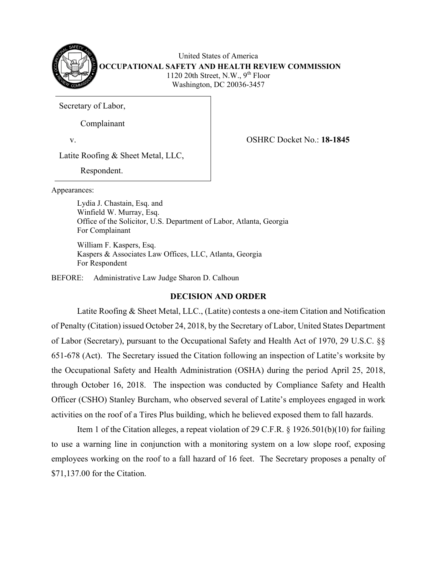

United States of America **OCCUPATIONAL SAFETY AND HEALTH REVIEW COMMISSION** 1120 20th Street, N.W.,  $9<sup>th</sup>$  Floor Washington, DC 20036-3457

Secretary of Labor,

Complainant

v. OSHRC Docket No.: **18-1845**

Latite Roofing & Sheet Metal, LLC,

Respondent.

Appearances:

Lydia J. Chastain, Esq. and Winfield W. Murray, Esq. Office of the Solicitor, U.S. Department of Labor, Atlanta, Georgia For Complainant

William F. Kaspers, Esq. Kaspers & Associates Law Offices, LLC, Atlanta, Georgia For Respondent

BEFORE: Administrative Law Judge Sharon D. Calhoun

# **DECISION AND ORDER**

Latite Roofing & Sheet Metal, LLC., (Latite) contests a one-item Citation and Notification of Penalty (Citation) issued October 24, 2018, by the Secretary of Labor, United States Department of Labor (Secretary), pursuant to the Occupational Safety and Health Act of 1970, 29 U.S.C. §§ 651-678 (Act). The Secretary issued the Citation following an inspection of Latite's worksite by the Occupational Safety and Health Administration (OSHA) during the period April 25, 2018, through October 16, 2018. The inspection was conducted by Compliance Safety and Health Officer (CSHO) Stanley Burcham, who observed several of Latite's employees engaged in work activities on the roof of a Tires Plus building, which he believed exposed them to fall hazards.

Item 1 of the Citation alleges, a repeat violation of 29 C.F.R. § 1926.501(b)(10) for failing to use a warning line in conjunction with a monitoring system on a low slope roof, exposing employees working on the roof to a fall hazard of 16 feet. The Secretary proposes a penalty of \$71,137.00 for the Citation.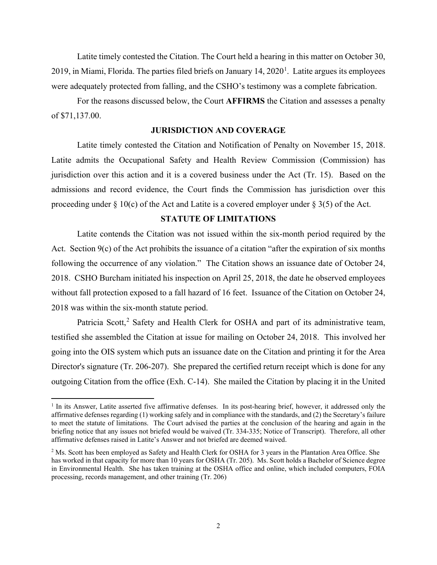Latite timely contested the Citation. The Court held a hearing in this matter on October 30, 20[1](#page-1-0)9, in Miami, Florida. The parties filed briefs on January 14,  $2020<sup>1</sup>$ . Latite argues its employees were adequately protected from falling, and the CSHO's testimony was a complete fabrication.

For the reasons discussed below, the Court **AFFIRMS** the Citation and assesses a penalty of \$71,137.00.

#### **JURISDICTION AND COVERAGE**

Latite timely contested the Citation and Notification of Penalty on November 15, 2018. Latite admits the Occupational Safety and Health Review Commission (Commission) has jurisdiction over this action and it is a covered business under the Act (Tr. 15). Based on the admissions and record evidence, the Court finds the Commission has jurisdiction over this proceeding under  $\S 10(c)$  of the Act and Latite is a covered employer under  $\S 3(5)$  of the Act.

## **STATUTE OF LIMITATIONS**

Latite contends the Citation was not issued within the six-month period required by the Act. Section 9(c) of the Act prohibits the issuance of a citation "after the expiration of six months following the occurrence of any violation." The Citation shows an issuance date of October 24, 2018. CSHO Burcham initiated his inspection on April 25, 2018, the date he observed employees without fall protection exposed to a fall hazard of 16 feet. Issuance of the Citation on October 24, 2018 was within the six-month statute period.

Patricia Scott,<sup>[2](#page-1-1)</sup> Safety and Health Clerk for OSHA and part of its administrative team, testified she assembled the Citation at issue for mailing on October 24, 2018. This involved her going into the OIS system which puts an issuance date on the Citation and printing it for the Area Director's signature (Tr. 206-207). She prepared the certified return receipt which is done for any outgoing Citation from the office (Exh. C-14). She mailed the Citation by placing it in the United

<span id="page-1-0"></span> $1$  In its Answer, Latite asserted five affirmative defenses. In its post-hearing brief, however, it addressed only the affirmative defenses regarding (1) working safely and in compliance with the standards, and (2) the Secretary's failure to meet the statute of limitations. The Court advised the parties at the conclusion of the hearing and again in the briefing notice that any issues not briefed would be waived (Tr. 334-335; Notice of Transcript). Therefore, all other affirmative defenses raised in Latite's Answer and not briefed are deemed waived.

<span id="page-1-1"></span><sup>&</sup>lt;sup>2</sup> Ms. Scott has been employed as Safety and Health Clerk for OSHA for 3 years in the Plantation Area Office. She has worked in that capacity for more than 10 years for OSHA (Tr. 205). Ms. Scott holds a Bachelor of Science degree in Environmental Health. She has taken training at the OSHA office and online, which included computers, FOIA processing, records management, and other training (Tr. 206)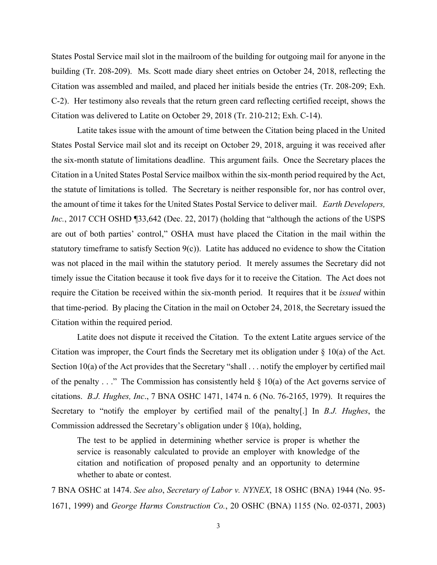States Postal Service mail slot in the mailroom of the building for outgoing mail for anyone in the building (Tr. 208-209). Ms. Scott made diary sheet entries on October 24, 2018, reflecting the Citation was assembled and mailed, and placed her initials beside the entries (Tr. 208-209; Exh. C-2). Her testimony also reveals that the return green card reflecting certified receipt, shows the Citation was delivered to Latite on October 29, 2018 (Tr. 210-212; Exh. C-14).

Latite takes issue with the amount of time between the Citation being placed in the United States Postal Service mail slot and its receipt on October 29, 2018, arguing it was received after the six-month statute of limitations deadline. This argument fails. Once the Secretary places the Citation in a United States Postal Service mailbox within the six-month period required by the Act, the statute of limitations is tolled. The Secretary is neither responsible for, nor has control over, the amount of time it takes for the United States Postal Service to deliver mail. *Earth Developers, Inc.*, 2017 CCH OSHD [33,642 (Dec. 22, 2017) (holding that "although the actions of the USPS are out of both parties' control," OSHA must have placed the Citation in the mail within the statutory timeframe to satisfy Section 9(c)). Latite has adduced no evidence to show the Citation was not placed in the mail within the statutory period. It merely assumes the Secretary did not timely issue the Citation because it took five days for it to receive the Citation. The Act does not require the Citation be received within the six-month period. It requires that it be *issued* within that time-period. By placing the Citation in the mail on October 24, 2018, the Secretary issued the Citation within the required period.

Latite does not dispute it received the Citation. To the extent Latite argues service of the Citation was improper, the Court finds the Secretary met its obligation under § 10(a) of the Act. Section 10(a) of the Act provides that the Secretary "shall . . . notify the employer by certified mail of the penalty  $\ldots$ ." The Commission has consistently held  $\S$  10(a) of the Act governs service of citations. *B.J. Hughes, Inc*., 7 BNA OSHC 1471, 1474 n. 6 (No. 76-2165, 1979). It requires the Secretary to "notify the employer by certified mail of the penalty[.] In *B.J. Hughes*, the Commission addressed the Secretary's obligation under § 10(a), holding,

The test to be applied in determining whether service is proper is whether the service is reasonably calculated to provide an employer with knowledge of the citation and notification of proposed penalty and an opportunity to determine whether to abate or contest.

7 BNA OSHC at 1474. *See also*, *Secretary of Labor v. NYNEX*, 18 OSHC (BNA) 1944 (No. 95- 1671, 1999) and *George Harms Construction Co.*, 20 OSHC (BNA) 1155 (No. 02-0371, 2003)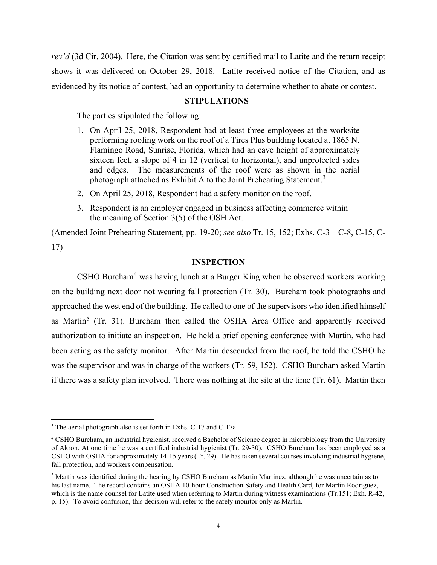*rev'd* (3d Cir. 2004). Here, the Citation was sent by certified mail to Latite and the return receipt shows it was delivered on October 29, 2018. Latite received notice of the Citation, and as evidenced by its notice of contest, had an opportunity to determine whether to abate or contest.

#### **STIPULATIONS**

The parties stipulated the following:

- 1. On April 25, 2018, Respondent had at least three employees at the worksite performing roofing work on the roof of a Tires Plus building located at 1865 N. Flamingo Road, Sunrise, Florida, which had an eave height of approximately sixteen feet, a slope of 4 in 12 (vertical to horizontal), and unprotected sides and edges. The measurements of the roof were as shown in the aerial photograph attached as Exhibit A to the Joint Prehearing Statement.<sup>[3](#page-3-0)</sup>
- 2. On April 25, 2018, Respondent had a safety monitor on the roof.
- 3. Respondent is an employer engaged in business affecting commerce within the meaning of Section 3(5) of the OSH Act.

(Amended Joint Prehearing Statement, pp. 19-20; *see also* Tr. 15, 152; Exhs. C-3 – C-8, C-15, C-17)

### **INSPECTION**

CSHO Burcham[4](#page-3-1) was having lunch at a Burger King when he observed workers working on the building next door not wearing fall protection (Tr. 30). Burcham took photographs and approached the west end of the building. He called to one of the supervisors who identified himself as Martin<sup>[5](#page-3-2)</sup> (Tr. 31). Burcham then called the OSHA Area Office and apparently received authorization to initiate an inspection. He held a brief opening conference with Martin, who had been acting as the safety monitor. After Martin descended from the roof, he told the CSHO he was the supervisor and was in charge of the workers (Tr. 59, 152). CSHO Burcham asked Martin if there was a safety plan involved. There was nothing at the site at the time (Tr. 61). Martin then

<span id="page-3-0"></span><sup>3</sup> The aerial photograph also is set forth in Exhs. C-17 and C-17a.

<span id="page-3-1"></span><sup>&</sup>lt;sup>4</sup> CSHO Burcham, an industrial hygienist, received a Bachelor of Science degree in microbiology from the University of Akron. At one time he was a certified industrial hygienist (Tr. 29-30). CSHO Burcham has been employed as a CSHO with OSHA for approximately 14-15 years (Tr. 29). He has taken several courses involving industrial hygiene, fall protection, and workers compensation.

<span id="page-3-2"></span><sup>5</sup> Martin was identified during the hearing by CSHO Burcham as Martin Martinez, although he was uncertain as to his last name. The record contains an OSHA 10-hour Construction Safety and Health Card, for Martin Rodriguez, which is the name counsel for Latite used when referring to Martin during witness examinations (Tr.151; Exh. R-42, p. 15). To avoid confusion, this decision will refer to the safety monitor only as Martin.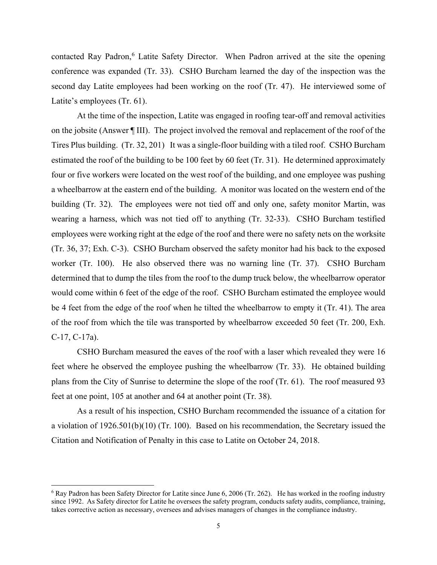contacted Ray Padron,<sup>[6](#page-4-0)</sup> Latite Safety Director. When Padron arrived at the site the opening conference was expanded (Tr. 33). CSHO Burcham learned the day of the inspection was the second day Latite employees had been working on the roof (Tr. 47). He interviewed some of Latite's employees (Tr. 61).

At the time of the inspection, Latite was engaged in roofing tear-off and removal activities on the jobsite (Answer ¶ III). The project involved the removal and replacement of the roof of the Tires Plus building. (Tr. 32, 201) It was a single-floor building with a tiled roof. CSHO Burcham estimated the roof of the building to be 100 feet by 60 feet (Tr. 31). He determined approximately four or five workers were located on the west roof of the building, and one employee was pushing a wheelbarrow at the eastern end of the building. A monitor was located on the western end of the building (Tr. 32). The employees were not tied off and only one, safety monitor Martin, was wearing a harness, which was not tied off to anything (Tr. 32-33). CSHO Burcham testified employees were working right at the edge of the roof and there were no safety nets on the worksite (Tr. 36, 37; Exh. C-3). CSHO Burcham observed the safety monitor had his back to the exposed worker (Tr. 100). He also observed there was no warning line (Tr. 37). CSHO Burcham determined that to dump the tiles from the roof to the dump truck below, the wheelbarrow operator would come within 6 feet of the edge of the roof. CSHO Burcham estimated the employee would be 4 feet from the edge of the roof when he tilted the wheelbarrow to empty it (Tr. 41). The area of the roof from which the tile was transported by wheelbarrow exceeded 50 feet (Tr. 200, Exh. C-17, C-17a).

CSHO Burcham measured the eaves of the roof with a laser which revealed they were 16 feet where he observed the employee pushing the wheelbarrow (Tr. 33). He obtained building plans from the City of Sunrise to determine the slope of the roof (Tr. 61). The roof measured 93 feet at one point, 105 at another and 64 at another point (Tr. 38).

As a result of his inspection, CSHO Burcham recommended the issuance of a citation for a violation of 1926.501(b)(10) (Tr. 100). Based on his recommendation, the Secretary issued the Citation and Notification of Penalty in this case to Latite on October 24, 2018.

<span id="page-4-0"></span> $6$  Ray Padron has been Safety Director for Latite since June 6, 2006 (Tr. 262). He has worked in the roofing industry since 1992. As Safety director for Latite he oversees the safety program, conducts safety audits, compliance, training, takes corrective action as necessary, oversees and advises managers of changes in the compliance industry.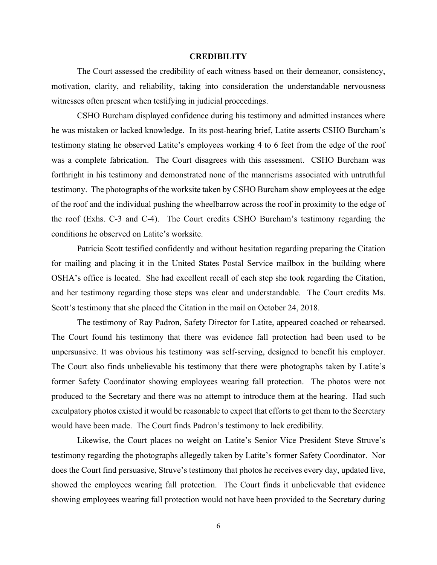#### **CREDIBILITY**

The Court assessed the credibility of each witness based on their demeanor, consistency, motivation, clarity, and reliability, taking into consideration the understandable nervousness witnesses often present when testifying in judicial proceedings.

CSHO Burcham displayed confidence during his testimony and admitted instances where he was mistaken or lacked knowledge. In its post-hearing brief, Latite asserts CSHO Burcham's testimony stating he observed Latite's employees working 4 to 6 feet from the edge of the roof was a complete fabrication. The Court disagrees with this assessment. CSHO Burcham was forthright in his testimony and demonstrated none of the mannerisms associated with untruthful testimony. The photographs of the worksite taken by CSHO Burcham show employees at the edge of the roof and the individual pushing the wheelbarrow across the roof in proximity to the edge of the roof (Exhs. C-3 and C-4). The Court credits CSHO Burcham's testimony regarding the conditions he observed on Latite's worksite.

Patricia Scott testified confidently and without hesitation regarding preparing the Citation for mailing and placing it in the United States Postal Service mailbox in the building where OSHA's office is located. She had excellent recall of each step she took regarding the Citation, and her testimony regarding those steps was clear and understandable. The Court credits Ms. Scott's testimony that she placed the Citation in the mail on October 24, 2018.

The testimony of Ray Padron, Safety Director for Latite, appeared coached or rehearsed. The Court found his testimony that there was evidence fall protection had been used to be unpersuasive. It was obvious his testimony was self-serving, designed to benefit his employer. The Court also finds unbelievable his testimony that there were photographs taken by Latite's former Safety Coordinator showing employees wearing fall protection. The photos were not produced to the Secretary and there was no attempt to introduce them at the hearing. Had such exculpatory photos existed it would be reasonable to expect that efforts to get them to the Secretary would have been made. The Court finds Padron's testimony to lack credibility.

Likewise, the Court places no weight on Latite's Senior Vice President Steve Struve's testimony regarding the photographs allegedly taken by Latite's former Safety Coordinator. Nor does the Court find persuasive, Struve's testimony that photos he receives every day, updated live, showed the employees wearing fall protection. The Court finds it unbelievable that evidence showing employees wearing fall protection would not have been provided to the Secretary during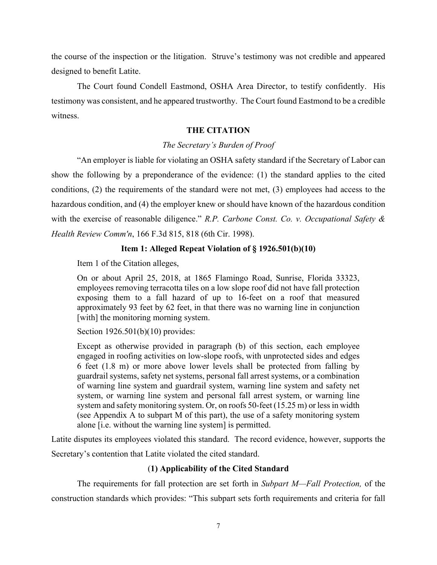the course of the inspection or the litigation. Struve's testimony was not credible and appeared designed to benefit Latite.

The Court found Condell Eastmond, OSHA Area Director, to testify confidently. His testimony was consistent, and he appeared trustworthy. The Court found Eastmond to be a credible witness.

## **THE CITATION**

### *The Secretary's Burden of Proof*

"An employer is liable for violating an OSHA safety standard if the Secretary of Labor can show the following by a preponderance of the evidence: (1) the standard applies to the cited conditions, (2) the requirements of the standard were not met, (3) employees had access to the hazardous condition, and (4) the employer knew or should have known of the hazardous condition with the exercise of reasonable diligence." *R.P. Carbone Const. Co. v. Occupational Safety & Health Review Comm'n*, 166 F.3d 815, 818 (6th Cir. 1998).

## **Item 1: Alleged Repeat Violation of § 1926.501(b)(10)**

Item 1 of the Citation alleges,

On or about April 25, 2018, at 1865 Flamingo Road, Sunrise, Florida 33323, employees removing terracotta tiles on a low slope roof did not have fall protection exposing them to a fall hazard of up to 16-feet on a roof that measured approximately 93 feet by 62 feet, in that there was no warning line in conjunction [with] the monitoring morning system.

Section 1926.501(b)(10) provides:

Except as otherwise provided in paragraph (b) of this section, each employee engaged in roofing activities on low-slope roofs, with unprotected sides and edges 6 feet (1.8 m) or more above lower levels shall be protected from falling by guardrail systems, safety net systems, personal fall arrest systems, or a combination of warning line system and guardrail system, warning line system and safety net system, or warning line system and personal fall arrest system, or warning line system and safety monitoring system. Or, on roofs 50-feet (15.25 m) or less in width (see Appendix A to subpart M of this part), the use of a safety monitoring system alone [i.e. without the warning line system] is permitted.

Latite disputes its employees violated this standard. The record evidence, however, supports the Secretary's contention that Latite violated the cited standard.

## (**1) Applicability of the Cited Standard**

The requirements for fall protection are set forth in *Subpart M—Fall Protection,* of the construction standards which provides: "This subpart sets forth requirements and criteria for fall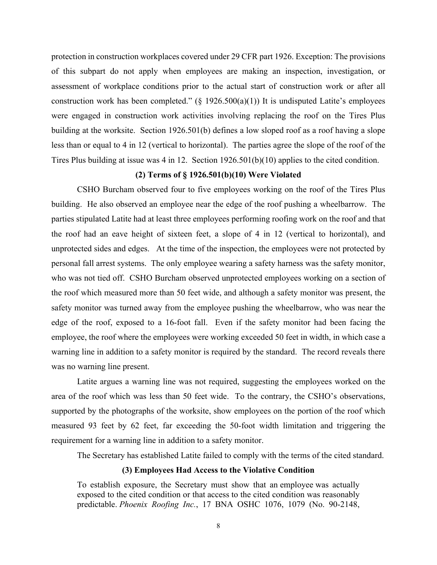protection in construction workplaces covered under 29 CFR part 1926. Exception: The provisions of this subpart do not apply when employees are making an inspection, investigation, or assessment of workplace conditions prior to the actual start of construction work or after all construction work has been completed." ( $\S$  1926.500(a)(1)) It is undisputed Latite's employees were engaged in construction work activities involving replacing the roof on the Tires Plus building at the worksite. Section 1926.501(b) defines a low sloped roof as a roof having a slope less than or equal to 4 in 12 (vertical to horizontal). The parties agree the slope of the roof of the Tires Plus building at issue was 4 in 12. Section 1926.501(b)(10) applies to the cited condition.

### **(2) Terms of § 1926.501(b)(10) Were Violated**

CSHO Burcham observed four to five employees working on the roof of the Tires Plus building. He also observed an employee near the edge of the roof pushing a wheelbarrow. The parties stipulated Latite had at least three employees performing roofing work on the roof and that the roof had an eave height of sixteen feet, a slope of 4 in 12 (vertical to horizontal), and unprotected sides and edges. At the time of the inspection, the employees were not protected by personal fall arrest systems. The only employee wearing a safety harness was the safety monitor, who was not tied off. CSHO Burcham observed unprotected employees working on a section of the roof which measured more than 50 feet wide, and although a safety monitor was present, the safety monitor was turned away from the employee pushing the wheelbarrow, who was near the edge of the roof, exposed to a 16-foot fall. Even if the safety monitor had been facing the employee, the roof where the employees were working exceeded 50 feet in width, in which case a warning line in addition to a safety monitor is required by the standard. The record reveals there was no warning line present.

Latite argues a warning line was not required, suggesting the employees worked on the area of the roof which was less than 50 feet wide. To the contrary, the CSHO's observations, supported by the photographs of the worksite, show employees on the portion of the roof which measured 93 feet by 62 feet, far exceeding the 50-foot width limitation and triggering the requirement for a warning line in addition to a safety monitor.

The Secretary has established Latite failed to comply with the terms of the cited standard.

#### **(3) Employees Had Access to the Violative Condition**

To establish exposure, the Secretary must show that an employee was actually exposed to the cited condition or that access to the cited condition was reasonably predictable. *Phoenix Roofing Inc.*, 17 BNA OSHC 1076, 1079 (No. 90-2148,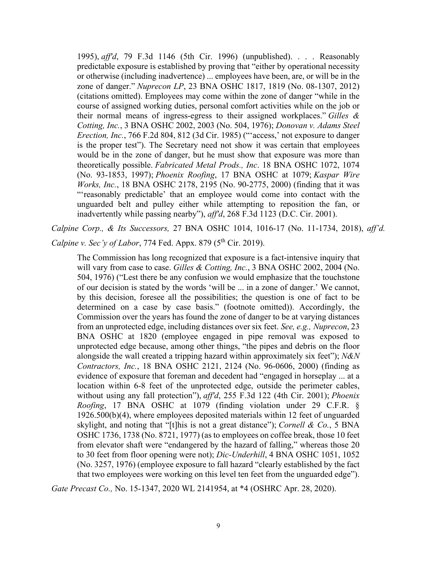1995), *aff'd*, 79 F.3d 1146 (5th Cir. 1996) (unpublished). . . . Reasonably predictable exposure is established by proving that "either by operational necessity or otherwise (including inadvertence) ... employees have been, are, or will be in the zone of danger." *Nuprecon LP*, 23 BNA OSHC 1817, 1819 (No. 08-1307, 2012) (citations omitted). Employees may come within the zone of danger "while in the course of assigned working duties, personal comfort activities while on the job or their normal means of ingress-egress to their assigned workplaces." *Gilles & Cotting, Inc.*, 3 BNA OSHC 2002, 2003 (No. 504, 1976); *Donovan v. Adams Steel Erection, Inc.*, 766 F.2d 804, 812 (3d Cir. 1985) ("'access,' not exposure to danger is the proper test"). The Secretary need not show it was certain that employees would be in the zone of danger, but he must show that exposure was more than theoretically possible. *Fabricated Metal Prods., Inc*. 18 BNA OSHC 1072, 1074 (No. 93-1853, 1997); *Phoenix Roofing*, 17 BNA OSHC at 1079; *Kaspar Wire Works, Inc.*, 18 BNA OSHC 2178, 2195 (No. 90-2775, 2000) (finding that it was "'reasonably predictable' that an employee would come into contact with the unguarded belt and pulley either while attempting to reposition the fan, or inadvertently while passing nearby"), *aff'd*, 268 F.3d 1123 (D.C. Cir. 2001).

*Calpine Corp., & Its Successors,* 27 BNA OSHC 1014, 1016-17 (No. 11-1734, 2018), *aff'd.* 

*Calpine v. Sec'y of Labor*, 774 Fed. Appx. 879 (5<sup>th</sup> Cir. 2019).

The Commission has long recognized that exposure is a fact-intensive inquiry that will vary from case to case. *Gilles & Cotting, Inc.*, 3 BNA OSHC 2002, 2004 (No. 504, 1976) ("Lest there be any confusion we would emphasize that the touchstone of our decision is stated by the words 'will be ... in a zone of danger.' We cannot, by this decision, foresee all the possibilities; the question is one of fact to be determined on a case by case basis." (footnote omitted)). Accordingly, the Commission over the years has found the zone of danger to be at varying distances from an unprotected edge, including distances over six feet. *See, e.g., Nuprecon*, 23 BNA OSHC at 1820 (employee engaged in pipe removal was exposed to unprotected edge because, among other things, "the pipes and debris on the floor alongside the wall created a tripping hazard within approximately six feet"); *N&N Contractors, Inc.*, 18 BNA OSHC 2121, 2124 (No. 96-0606, 2000) (finding as evidence of exposure that foreman and decedent had "engaged in horseplay ... at a location within 6-8 feet of the unprotected edge, outside the perimeter cables, without using any fall protection"), *aff'd*, 255 F.3d 122 (4th Cir. 2001); *Phoenix Roofing*, 17 BNA OSHC at 1079 (finding violation under 29 C.F.R. § 1926.500(b)(4), where employees deposited materials within 12 feet of unguarded skylight, and noting that "[t]his is not a great distance"); *Cornell & Co.*, 5 BNA OSHC 1736, 1738 (No. 8721, 1977) (as to employees on coffee break, those 10 feet from elevator shaft were "endangered by the hazard of falling," whereas those 20 to 30 feet from floor opening were not); *Dic-Underhill*, 4 BNA OSHC 1051, 1052 (No. 3257, 1976) (employee exposure to fall hazard "clearly established by the fact that two employees were working on this level ten feet from the unguarded edge").

*Gate Precast Co.,* No. 15-1347, 2020 WL 2141954, at \*4 (OSHRC Apr. 28, 2020).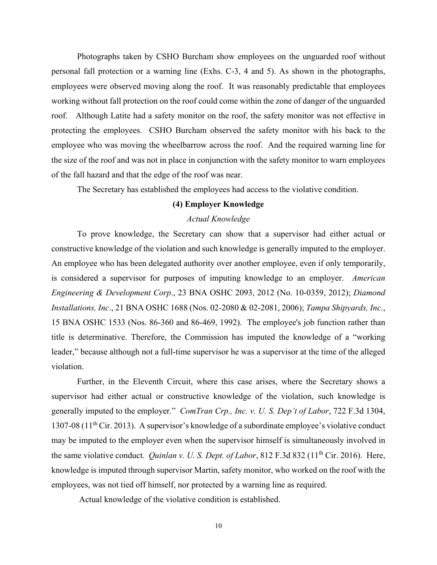Photographs taken by CSHO Burcham show employees on the unguarded roof without personal fall protection or a warning line (Exhs. C-3, 4 and 5). As shown in the photographs, employees were observed moving along the roof. It was reasonably predictable that employees working without fall protection on the roof could come within the zone of danger of the unguarded roof. Although Latite had a safety monitor on the roof, the safety monitor was not effective in protecting the employees. CSHO Burcham observed the safety monitor with his back to the employee who was moving the wheelbarrow across the roof. And the required warning line for the size of the roof and was not in place in conjunction with the safety monitor to warn employees of the fall hazard and that the edge of the roof was near.

The Secretary has established the employees had access to the violative condition.

## **(4) Employer Knowledge**

## *Actual Knowledge*

To prove knowledge, the Secretary can show that a supervisor had either actual or constructive knowledge of the violation and such knowledge is generally imputed to the employer. An employee who has been delegated authority over another employee, even if only temporarily, is considered a supervisor for purposes of imputing knowledge to an employer. *American Engineering & Development Corp*., 23 BNA OSHC 2093, 2012 (No. 10-0359, 2012); *Diamond Installations, Inc*., 21 BNA OSHC 1688 (Nos. 02-2080 & 02-2081, 2006); *Tampa Shipyards, Inc.*, 15 BNA OSHC 1533 (Nos. 86-360 and 86-469, 1992). The employee's job function rather than title is determinative. Therefore, the Commission has imputed the knowledge of a "working leader," because although not a full-time supervisor he was a supervisor at the time of the alleged violation.

Further, in the Eleventh Circuit, where this case arises, where the Secretary shows a supervisor had either actual or constructive knowledge of the violation, such knowledge is generally imputed to the employer." *ComTran Crp., Inc. v. U. S. Dep't of Labor*, 722 F.3d 1304, 1307-08 ( $11<sup>th</sup>$  Cir. 2013). A supervisor's knowledge of a subordinate employee's violative conduct may be imputed to the employer even when the supervisor himself is simultaneously involved in the same violative conduct. *Quinlan v. U. S. Dept. of Labor*, 812 F.3d 832 (11<sup>th</sup> Cir. 2016). Here, knowledge is imputed through supervisor Martin, safety monitor, who worked on the roof with the employees, was not tied off himself, nor protected by a warning line as required.

Actual knowledge of the violative condition is established.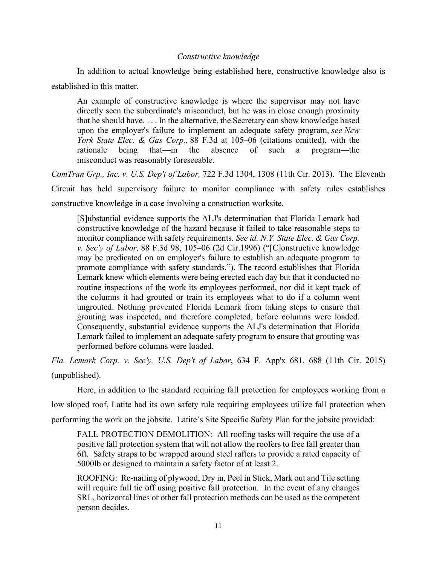### *Constructive knowledge*

In addition to actual knowledge being established here, constructive knowledge also is established in this matter.

An example of constructive knowledge is where the supervisor may not have directly seen the subordinate's misconduct, but he was in close enough proximity that he should have. . . . In the alternative, the Secretary can show knowledge based upon the employer's failure to implement an adequate safety program, *see New York State Elec. & Gas Corp.,* 88 F.3d at 105–06 (citations omitted), with the rationale being that—in the absence of such a program—the misconduct was reasonably foreseeable.

*ComTran Grp., Inc. v. U.S. Dep't of Labor,* 722 F.3d 1304, 1308 (11th Cir. 2013). The Eleventh Circuit has held supervisory failure to monitor compliance with safety rules establishes constructive knowledge in a case involving a construction worksite.

[S]ubstantial evidence supports the ALJ's determination that Florida Lemark had constructive knowledge of the hazard because it failed to take reasonable steps to monitor compliance with safety requirements. *See id. N.Y. State Elec. & Gas Corp. v. Sec'y of Labor,* 88 F.3d 98, 105–06 (2d Cir.1996) ("[C]onstructive knowledge may be predicated on an employer's failure to establish an adequate program to promote compliance with safety standards."). The record establishes that Florida Lemark knew which elements were being erected each day but that it conducted no routine inspections of the work its employees performed, nor did it kept track of the columns it had grouted or train its employees what to do if a column went ungrouted. Nothing prevented Florida Lemark from taking steps to ensure that grouting was inspected, and therefore completed, before columns were loaded. Consequently, substantial evidence supports the ALJ's determination that Florida Lemark failed to implement an adequate safety program to ensure that grouting was performed before columns were loaded.

*Fla. Lemark Corp. v. Sec'y, U.S. Dep't of Labor*, 634 F. App'x 681, 688 (11th Cir. 2015) (unpublished).

Here, in addition to the standard requiring fall protection for employees working from a low sloped roof, Latite had its own safety rule requiring employees utilize fall protection when performing the work on the jobsite. Latite's Site Specific Safety Plan for the jobsite provided:

FALL PROTECTION DEMOLITION: All roofing tasks will require the use of a positive fall protection system that will not allow the roofers to free fall greater than 6ft. Safety straps to be wrapped around steel rafters to provide a rated capacity of 5000lb or designed to maintain a safety factor of at least 2.

ROOFING: Re-nailing of plywood, Dry in, Peel in Stick, Mark out and Tile setting will require full tie off using positive fall protection. In the event of any changes SRL, horizontal lines or other fall protection methods can be used as the competent person decides.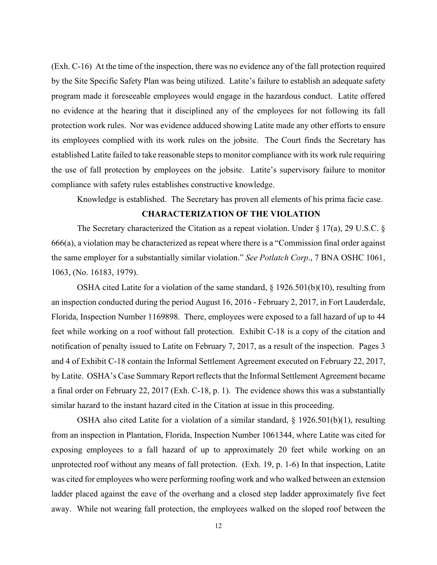(Exh. C-16) At the time of the inspection, there was no evidence any of the fall protection required by the Site Specific Safety Plan was being utilized. Latite's failure to establish an adequate safety program made it foreseeable employees would engage in the hazardous conduct. Latite offered no evidence at the hearing that it disciplined any of the employees for not following its fall protection work rules. Nor was evidence adduced showing Latite made any other efforts to ensure its employees complied with its work rules on the jobsite. The Court finds the Secretary has established Latite failed to take reasonable steps to monitor compliance with its work rule requiring the use of fall protection by employees on the jobsite. Latite's supervisory failure to monitor compliance with safety rules establishes constructive knowledge.

Knowledge is established. The Secretary has proven all elements of his prima facie case.

## **CHARACTERIZATION OF THE VIOLATION**

The Secretary characterized the Citation as a repeat violation. Under § 17(a), 29 U.S.C. § 666(a), a violation may be characterized as repeat where there is a "Commission final order against the same employer for a substantially similar violation." *See Potlatch Corp*., 7 BNA OSHC 1061, 1063, (No. 16183, 1979).

OSHA cited Latite for a violation of the same standard, § 1926.501(b)(10), resulting from an inspection conducted during the period August 16, 2016 - February 2, 2017, in Fort Lauderdale, Florida, Inspection Number 1169898. There, employees were exposed to a fall hazard of up to 44 feet while working on a roof without fall protection. Exhibit C-18 is a copy of the citation and notification of penalty issued to Latite on February 7, 2017, as a result of the inspection. Pages 3 and 4 of Exhibit C-18 contain the Informal Settlement Agreement executed on February 22, 2017, by Latite. OSHA's Case Summary Report reflects that the Informal Settlement Agreement became a final order on February 22, 2017 (Exh. C-18, p. 1). The evidence shows this was a substantially similar hazard to the instant hazard cited in the Citation at issue in this proceeding.

OSHA also cited Latite for a violation of a similar standard, § 1926.501(b)(1), resulting from an inspection in Plantation, Florida, Inspection Number 1061344, where Latite was cited for exposing employees to a fall hazard of up to approximately 20 feet while working on an unprotected roof without any means of fall protection. (Exh. 19, p. 1-6) In that inspection, Latite was cited for employees who were performing roofing work and who walked between an extension ladder placed against the eave of the overhang and a closed step ladder approximately five feet away. While not wearing fall protection, the employees walked on the sloped roof between the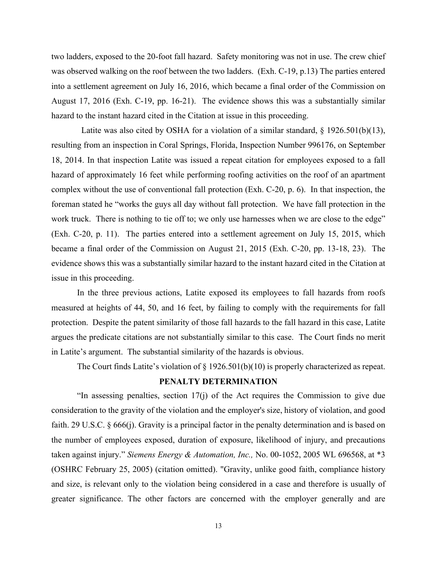two ladders, exposed to the 20-foot fall hazard. Safety monitoring was not in use. The crew chief was observed walking on the roof between the two ladders. (Exh. C-19, p.13) The parties entered into a settlement agreement on July 16, 2016, which became a final order of the Commission on August 17, 2016 (Exh. C-19, pp. 16-21). The evidence shows this was a substantially similar hazard to the instant hazard cited in the Citation at issue in this proceeding.

Latite was also cited by OSHA for a violation of a similar standard,  $\S$  1926.501(b)(13), resulting from an inspection in Coral Springs, Florida, Inspection Number 996176, on September 18, 2014. In that inspection Latite was issued a repeat citation for employees exposed to a fall hazard of approximately 16 feet while performing roofing activities on the roof of an apartment complex without the use of conventional fall protection (Exh. C-20, p. 6). In that inspection, the foreman stated he "works the guys all day without fall protection. We have fall protection in the work truck. There is nothing to tie off to; we only use harnesses when we are close to the edge" (Exh. C-20, p. 11). The parties entered into a settlement agreement on July 15, 2015, which became a final order of the Commission on August 21, 2015 (Exh. C-20, pp. 13-18, 23). The evidence shows this was a substantially similar hazard to the instant hazard cited in the Citation at issue in this proceeding.

In the three previous actions, Latite exposed its employees to fall hazards from roofs measured at heights of 44, 50, and 16 feet, by failing to comply with the requirements for fall protection. Despite the patent similarity of those fall hazards to the fall hazard in this case, Latite argues the predicate citations are not substantially similar to this case. The Court finds no merit in Latite's argument. The substantial similarity of the hazards is obvious.

The Court finds Latite's violation of  $\S$  1926.501(b)(10) is properly characterized as repeat.

### **PENALTY DETERMINATION**

"In assessing penalties, section 17(j) of the Act requires the Commission to give due consideration to the gravity of the violation and the employer's size, history of violation, and good faith. 29 U.S.C. § 666(j). Gravity is a principal factor in the penalty determination and is based on the number of employees exposed, duration of exposure, likelihood of injury, and precautions taken against injury." *Siemens Energy & Automation, Inc.,* No. 00-1052, 2005 WL 696568, at \*3 (OSHRC February 25, 2005) (citation omitted). "Gravity, unlike good faith, compliance history and size, is relevant only to the violation being considered in a case and therefore is usually of greater significance. The other factors are concerned with the employer generally and are